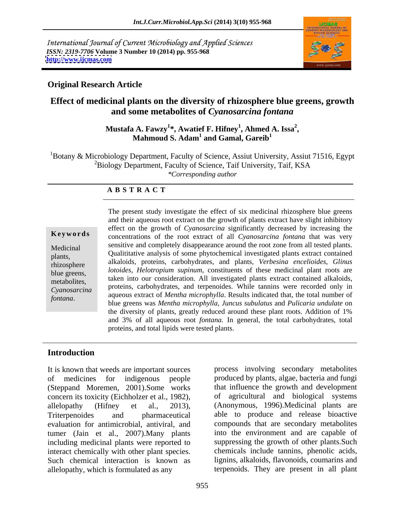International Journal of Current Microbiology and Applied Sciences *ISSN: 2319-7706* **Volume 3 Number 10 (2014) pp. 955-968 <http://www.ijcmas.com>**



### **Original Research Article**

## **Effect of medicinal plants on the diversity of rhizosphere blue greens, growth and some metabolites of** *Cyanosarcina fontana*

### Mustafa A. Fawzy<sup>1</sup>\*, Awatief F. Hifney<sup>1</sup>, Ahmed A. Issa<sup>2</sup>,<br>Mahmoud S. Adam<sup>1</sup> and Gamal, Gareib<sup>1</sup> **, Ahmed A. Issa<sup>2</sup> and Gamal, Gareib<sup>1</sup>**

 ${}^{1}$ Botany & Microbiology Department, Faculty of Science, Assiut University, Assiut 71516, Egypt <sup>2</sup>Biology Department, Faculty of Science, Taif University, Taif, KSA *\*Corresponding author*

### **A B S T R A C T**

**Ke ywo rds** concentrations of the root extract of all *Cyanosarcina fontana* that was very Medicinal sensitive and completely disappearance around the root zone from all tested plants. plants,<br>
Qualititative analysis of some phytochemical investigated plants extract contained<br>
Value of the contained rhizosphere alkaloids, proteins, carbohydrates, and plants, *Verbesina encelioides*, *Glinus*  blue greens, *lotoides*, *Helotropium supinum*, constituents of these medicinal plant roots are metabolites, taken into our consideration. All investigated plants extract contained alkaloids, *Cyanosarcina* proteins, carbohydrates, and terpenoides. While tannins were recorded only in The present study investigate the effect of six medicinal rhizosphere blue greens<br>
and their aqueous root extract on the growth of plants extract have slight inhibitory<br>
effect on the growth of *Cyanosarcina* significantly and their aqueous root extract on the growth of plants extract have slight inhibitory effect on the growth of *Cyanosarcina* significantly decreased by increasing the aqueous extract of *Mentha microphylla*. Results indicated that, the total number of blue greens was *Mentha microphylla*, *Juncus subulatus* and *Pulicaria undulate* on the diversity of plants, greatly reduced around these plant roots. Addition of 1% and 3% of all aqueous root *fontana.* In general, the total carbohydrates, total proteins, and total lipids were tested plants.

### **Introduction**

It is known that weeds are important sources process involving secondary metabolites of medicines for indigenous people produced by plants, algae, bacteria and fungi (Steppand Moremen, 2001).Some works concern its toxicity (Eichholzer et al., 1982), allelopathy (Hifney et al., 2013), (Anonymous, 1996).Medicinal plants are Triterpenoides and pharmaceutical able to produce and release bioactive evaluation for antimicrobial, antiviral, and tumer (Jain et al., 2007).Many plants including medicinal plants were reported to interact chemically with other plant species. Such chemical interaction is known as lignins, alkaloids, flavonoids, coumarins and allelopathy, which is formulated as any

that influence the growth and development of agricultural and biological systems compounds that are secondary metabolites into the environment and are capable of suppressing the growth of other plants.Such chemicals include tannins, phenolic acids, terpenoids. They are present in all plant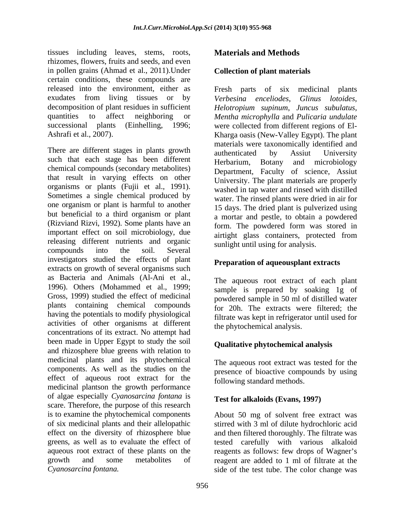tissues including leaves, stems, roots, rhizomes, flowers, fruits and seeds, and even in pollen grains (Ahmad et al., 2011).Under certain conditions, these compounds are released into the environment, either as Fresh parts of six medicinal plants exudates from living tissues or by Verbesing encellodes. Glinus lotoides. decomposition of plant residues in sufficient *Helotropium supinum*, *Juncus subulatus*, quantities to affect neighboring or *Mentha microphylla* and *Pulicaria undulate* successional plants (Einhelling, 1996; were collected from different regions of El-

There are different stages in plants growth authenticated by Assiut University such that each stage has been different Herbarium. chemical compounds (secondary metabolites) that result in varying effects on other organisms or plants (Fujii et al., 1991). organisms or plants (Fujii et al., 1991).<br>Sometimes a single chemical produced by water The rinsed plants were dried in air for one organism or plant is harmful to another but beneficial to a third organism or plant (Rizviand Rizvi, 1992). Some plants have an important effect on soil microbiology, due releasing different nutrients and organic compounds into the soil. Several investigators studied the effects of plant extracts on growth of several organisms such as Bacteria and Animals (Al-Ani et al., 1996). Others (Mohammed et al., 1999; sample is prepared by soaking 1g of Gross, 1999) studied the effect of medicinal plants containing chemical compounds having the potentials to modify physiological activities of other organisms at different concentrations of its extract. No attempt had been made in Upper Egypt to study the soil and rhizosphere blue greens with relation to medicinal plants and its phytochemical components. As well as the studies on the effect of aqueous root extract for the medicinal plantson the growth performance of algae especially *Cyanosarcina fontana* is scare. Therefore, the purpose of this research<br>is to examine the phytochemical components is to examine the phytochemical components About 50 mg of solvent free extract was of six medicinal plants and their allelopathic stirred with 3 ml of dilute hydrochloric acid effect on the diversity of rhizosphere blue and then filtered thoroughly. The filtrate was greens, as well as to evaluate the effect of tested carefully with various alkaloid aqueous root extract of these plants on the reagents as follows: few drops of Wagner's growth and some metabolites of reagent are added to 1 ml of filtrate at the *Cyanosarcina fontana.* side of the test tube. The color change was

### **Materials and Methods**

### **Collection of plant materials**

Ashrafi et al., 2007). Kharga oasis (New-Valley Egypt). The plant *Verbesina enceliodes*, *Glinus lotoides*, materials were taxonomically identified and authenticated by Assiut University Botany and microbiology Department, Faculty of science, Assiut University. The plant materials are properly washed in tap water and rinsed with distilled water. The rinsed plants were dried in air for 15 days. The dried plant is pulverized using a mortar and pestle, to obtain a powdered form. The powdered form was stored in airtight glass containers, protected from sunlight until using for analysis.

### **Preparation of aqueousplant extracts**

The aqueous root extract of each plant powdered sample in 50 ml of distilled water for 20h. The extracts were filtered; the filtrate was kept in refrigerator until used for the phytochemical analysis.

### **Qualitative phytochemical analysis**

The aqueous root extract was tested for the presence of bioactive compounds by using following standard methods.

### **Test for alkaloids (Evans, 1997)**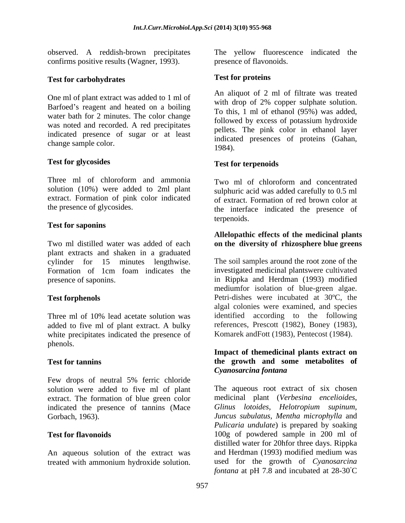observed. A reddish-brown precipitates confirms positive results (Wagner, 1993).

# **Test for carbohydrates**

One ml of plant extract was added to 1 ml of Barfoed's reagent and heated on a boiling water bath for 2 minutes. The color change was noted and recorded. A red precipitates indicated presence of sugar or at least change sample color. 1984).

### **Test for glycosides**

Three ml of chloroform and ammonia Two ml of chloroform and concentrated solution (10%) were added to 2ml plant extract. Formation of pink color indicated

### **Test for saponins**

plant extracts and shaken in a graduated

Three ml of 10% lead acetate solution was added to five ml of plant extract. A bulky white precipitates indicated the presence of phenols. The contract of the contract of the contract of the contract of the contract of the contract of the contract of the contract of the contract of the contract of the contract of the contract of the contract of the c

Few drops of neutral 5% ferric chloride extract. The formation of blue green color indicated the presence of tannins (Mace

An aqueous solution of the extract was

presence of flavonoids.

### **Test for proteins**

An aliquot of 2 ml of filtrate was treated with drop of 2% copper sulphate solution. To this, 1 ml of ethanol (95%) was added, followed by excess of potassium hydroxide pellets. The pink color in ethanol layer indicated presences of proteins (Gahan, 1984).

### **Test for terpenoids**

the presence of glycosides. the interface indicated the presence of sulphuric acid was added carefully to 0.5 ml of extract. Formation of red brown color at terpenoids.

### Two ml distilled water was added of each **on the diversity of rhizosphere blue greens Allelopathic effects of the medicinal plants**

cylinder for 15 minutes lengthwise. The soil samples around the root zone of the<br>Formation of 1cm foam indicates the investigated medicinal plantswere cultivated presence of saponins. in Rippka and Herdman (1993) modified **Test forphenols** Petri-dishes were incubated at 30ºC, the The soil samples around the root zone of the investigated medicinal plantswere cultivated mediumfor isolation of blue-green algae. algal colonies were examined, and species identified according to the following references, Prescott (1982), Boney (1983), Komarek andFott (1983), Pentecost (1984).

### **Test for tannins the growth and some metabolites of Impact of themedicinal plants extract on** *Cyanosarcina fontana*

solution were added to five ml of plant The aqueous root extract of six chosen Gorbach, 1963). *Juncus subulatus*, *Mentha microphylla* and **Test for flavonoids** 100g of powdered sample in 200 ml of observed. A redded to 2nd plant the yellow fluorescence indicated the content of redded with ampline the yellow fluorescence indicated with a more than the yellow from the properties with denote the properties and solution medicinal plant (*Verbesina encelioides*, *Glinus lotoides*, *Helotropium supinum*, *Pulicaria undulate*) is prepared by soaking distilled water for 20hfor three days. Rippka and Herdman (1993) modified medium was used for the growth of *Cyanosarcina fontana* at pH 7.8 and incubated at 28-30°C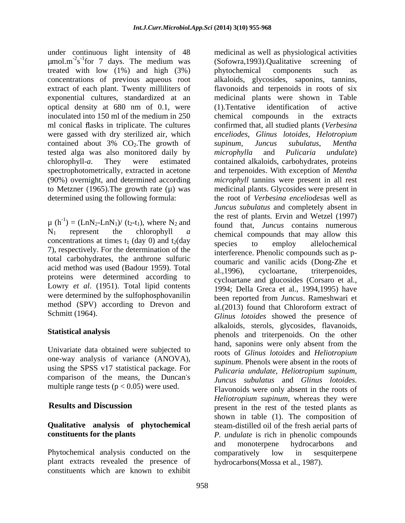under continuous light intensity of 48 medicinal as well as physiological activities  $\mu$ mol.m<sup>-2</sup>s<sup>-1</sup>for 7 days. The medium was (Sofowra, 1993). Qualitative screening of treated with low (1%) and high (3%) bhytochemical components such as exponential cultures, standardized at an optical density at 680 nm of 0.1, were inoculated into 150 ml of the medium in 250 were gassed with dry sterilized air, which tested alga was also monitored daily by microphylla and Pulicaria undulate)

concentrations at times  $t_1$  (day 0) and  $t_2$ (day species to employ allelochemical 7), respectively. For the determination of the total carbohydrates, the anthrone sulfuric acid method was used (Badour 1959). Total al., 1996), cycloartane, triterpenoides, proteins were determined according to Lowry *et al*. (1951). Total lipid contents were determined by the sulfophosphovanilin method (SPV) according to Drevon and

Univariate data obtained were subjected to one-way analysis of variance (ANOVA), using the SPSS v17 statistical package. For *Pulicaria undulate*, *Heliotropium supinum*, comparison of the means, the Duncan's *Juncus subulatus* and *Glinus lotoides*. multiple range tests ( $p < 0.05$ ) were used.

Phytochemical analysis conducted on the comparatively low in sesquiterpene plant extracts revealed the presence of constituents which are known to exhibit

s<sup>-1</sup>for 7 days. The medium was (Sofowra,1993).Qualitative screening of concentrations of previous aqueous root alkaloids, glycosides, saponins, tannins, extract of each plant. Twenty milliliters of flavonoids and terpenoids in roots of six ml conical flasks in triplicate. The cultures confirmed that, all studied plants (*Verbesina* contained about 3% CO<sub>2</sub>. The growth of supinum, Juncus subulatus, Mentha chlorophyll-*a*. They were estimated contained alkaloids, carbohydrates, proteins spectrophotometrically, extracted in acetone and terpenoides. With exception of *Mentha*  (90%) overnight, and determined according *microphyll* tannins were present in all rest to Metzner  $(1965)$ . The growth rate  $(\mu)$  was medicinal plants. Glycosides were present in determined using the following formula: the root of *Verbesina enceliodes*as well as  $\mu$  (h<sup>-1</sup>) = (LnN<sub>2</sub>-LnN<sub>1</sub>)/ (t<sub>2</sub>-t<sub>1</sub>), where N<sub>2</sub> and<br>found that *Iuncus* contains numerous  $=$   $(LnN_2-LnN_1)/(t_2-t_1)$ , where  $N_2$  and  $found$  that, *Juncus* contains numerous  $N_1$  represent the chlorophyll *a* chemical compounds that may allow this Schmitt (1964). *Glinus lotoides* showed the presence of **Statistical analysis** phenols and triterpenoids. On the other **Results and Discussion** present in the rest of the tested plants as **Qualitative analysis of phytochemical**  steam-distilled oil of the fresh aerial parts of **constituents for the plants** *P. undulate* is rich in phenolic compounds phytochemical components such as medicinal plants were shown in Table (1).Tentative identification of active compounds in the extracts *enceliodes*, *Glinus lotoides*, *Helotropium supinum*, *Juncus subulatus*, *Mentha microphylla* and *Pulicaria undulate*) *Juncus subulatus* and completely absent in the rest of plants. Ervin and Wetzel (1997) species to employ allelochemical interference. Phenolic compounds such as p coumaric and vanilic acids (Dong-Zhe et al.,1996), cycloartane, triterpenoides, cycloartane and glucosides (Corsaro et al., 1994; Della Greca et al., 1994,1995) have been reported from *Juncus*. Rameshwari et al.(2013) found that Chloroform extract of alkaloids, sterols, glycosides, flavanoids, hand, saponins were only absent from the roots of *Glinus lotoides* and *Heliotropium supinum*. Phenols were absent in the roots of *Pulicaria undulate*, *Heliotropium supinum, Juncus subulatus* and *Glinus lotoides*. Flavonoids were only absent in the roots of *Heliotropium supinum*, whereas they were shown in table (1). The composition of and monoterpene hydrocarbons and comparatively low in sesquiterpene hydrocarbons(Mossa et al., 1987).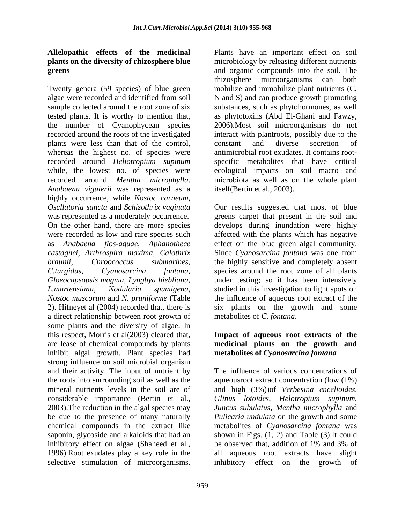Twenty genera (59 species) of blue green algae were recorded and identified from soil N and S) and can produce growth promoting sample collected around the root zone of six substances, such as phytohormones, as well tested plants. It is worthy to mention that, as phytotoxins (Abd El-Ghani and Fawzy, the number of Cyanophycean species recorded around the roots of the investigated interact with plantroots, possibly due to the plants were less than that of the control, constant and diverse secretion of whereas the highest no. of species were recorded around *Heliotropium supinum* specific metabolites that have critical while, the lowest no. of species were recorded around *Mentha microphylla*. microbiota as well as on the whole plant *Anabaena viguierii* was represented as a highly occurrence, while *Nostoc carneum*, *Oscllatoria sancta* and *Schizothrix vaginata* Our results suggested that most of blue was represented as a moderately occurrence. greens carpet that present in the soil and On the other hand, there are more species develops during inundation were highly were recorded as low and rare species such affected with the plants which has negative as *Anabaena flos-aquae, Aphanothece* effect on the blue green algal community. *castagnei, Arthrospira maxima, Calothrix* Since *Cyanosarcina fontana* was one from *braunii, Chroococcus submarines*, the highly sensitive and completely absent *C.turgidus*, *Cyanosarcina fontana*, species around the root zone of all plants *Gloeocapsopsis magma*, *Lyngbya biebliana*, *L.martensiana*, *Nodularia spumigena,* studied in this investigation to light spots on *Nostoc muscorum* and *N. pruniforme* (Table 2). Hifneyet al (2004) recorded that, there is a direct relationship between root growth of some plants and the diversity of algae. In this respect, Morris et al(2003) cleared that, are lease of chemical compounds by plants **medicinal plants on the growth and** inhibit algal growth. Plant species had strong influence on soil microbial organism and their activity. The input of nutrient by The influence of various concentrations of the roots into surrounding soil as well as the mineral nutrients levels in the soil are of and high (3%))of *Verbesina encelioides*, considerable importance (Bertin et al., *Glinus lotoides*, *Helotropium supinum*, 2003).The reduction in the algal species may *Juncus subulatus*, *Mentha microphylla* and be due to the presence of many naturally *Pulicaria undulata* on the growth and some chemical compounds in the extract like saponin, glycoside and alkaloids that had an shown in Figs. (1, 2) and Table (3).It could inhibitory effect on algae (Shaheed et al., be observed that, addition of 1% and 3% of 1996).Root exudates play a key role in the

**Allelopathic effects of the medicinal** Plants have an important effect on soil **plants on the diversity of rhizosphere blue**  microbiology by releasing different nutrients **greens** and organic compounds into the soil. The rhizosphere microorganisms can both mobilize and immobilize plant nutrients (C, 2006).Most soil microorganisms do not constant and diverse secretion of antimicrobial root exudates. It contains root ecological impacts on soil macro and itself(Bertin et al., 2003).

> under testing; so it has been intensively the influence of aqueous root extract of the six plants on the growth and some metabolites of *C. fontana*.

# **Impact of aqueous root extracts of the metabolites of** *Cyanosarcina fontana*

selective stimulation of microorganisms. inhibitory effect on the growth ofaqueousroot extract concentration (low (1%) metabolites of *Cyanosarcina fontana* was be observed that, addition of 1% and 3% of all aqueous root extracts have slight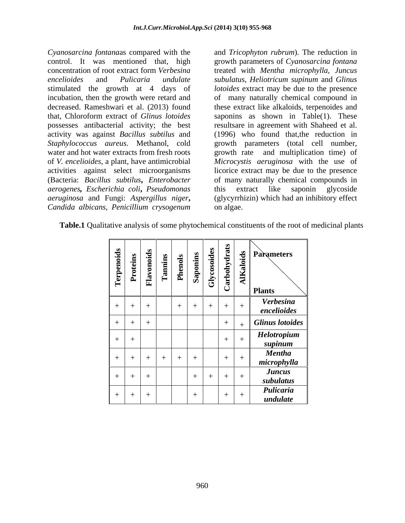*Cyanosarcina fontana*as compared with the and *Tricophyton rubrum*). The reduction in control. It was mentioned that, high growth parameters of *Cyanosarcina fontana* concentration of root extract form *Verbesina*  treated with *Mentha microphylla, Juncus encelioides* and *Pulicaria undulate subulatus, Heliotricum supinum* and *Glinus*  stimulated the growth at 4 days of *lotoides* extract may be due to the presence incubation, then the growth were retard and decreased. Rameshwari et al. (2013) found these extract like alkaloids, terpenoides and that, Chloroform extract of *Glinus lotoides* saponins as shown in Table(1). These possesses antibacterial activity; the best resultsare in agreement with Shaheed et al. activity was against *Bacillus subtilus* and (1996) who found that,the reduction in *Staphylococcus aureus*. Methanol, cold growth parameters (total cell number, water and hot water extracts from fresh roots growth rate of *V. encelioides*, a plant, have antimicrobial *Microcystis aeruginosa* with the use of activities against select microorganisms licorice extract may be due to the presence (Bacteria: *Bacillus subtilus***,** *Enterobacter* of many naturally chemical compounds in *aerogenes, Escherichia coli***,** *Pseudomonas aeruginosa* and Fungi: *Aspergillus niger***,** *Candida albicans, Penicillium crysogenum*

of many naturally chemical compound in and multiplication time) of this extract like saponin glycoside (glycyrrhizin) which had an inhibitory effect on algae.

| <b>Terpenoids<br/> Proteins<br/> Flavonoids<br/> Tamins<br/> Phenols</b><br>Phenols<br>Saponins |         | ਼ਰੂ                                            | - ਚੋ<br>$ \tilde{\vec{t}} $<br>∸<br><u>ိ</u> | <b>AIKaloids</b><br><b>Parameters</b><br><b>Plants</b> |
|-------------------------------------------------------------------------------------------------|---------|------------------------------------------------|----------------------------------------------|--------------------------------------------------------|
| $+$ $+$<br>$+$ $-$                                                                              | $+$ $+$ | $\overline{\phantom{0}}$<br>–<br>+             | $+$ $+$ $+$ $+$ $+$                          | <b>Verbesina</b><br>encelioides                        |
| $+$ $-$<br>$\pm$                                                                                | ___     |                                                |                                              | Glinus lotoides                                        |
| $+$                                                                                             |         |                                                |                                              | <b>Helotropium</b><br>supinum                          |
| $+$ $-$                                                                                         |         | $+$ $+$ $+$ $+$ $+$ $+$ $+$ $+$ $+$            | $+$ $+$                                      | <b>Mentha</b><br>microphylla                           |
| $+$ $+$ $+$ $+$ $+$                                                                             |         | <del>╾╾╸┪╼╼╾╾┪╾╾╾╌┪╌╌╌╌┪╾╌╌╌┪╌╌╌╌┪╌╌╌╌┪╾</del> | $+$ $+$ $+$ $+$ $+$ $+$                      | <b>Juncus</b><br>subulatus                             |
| .<br>$+$ $+$ $+$ $+$ $+$                                                                        |         | $\pm$                                          | $+$ $+$                                      | Pulicaria<br>undulate                                  |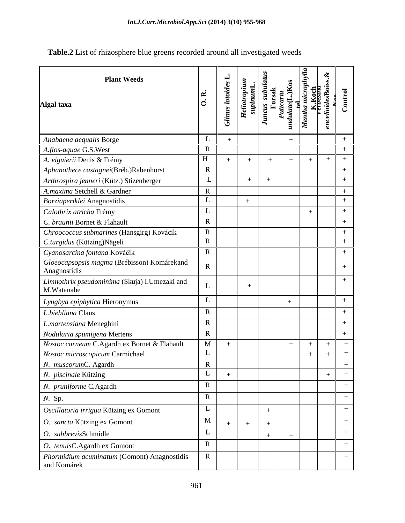Table.2 List of rhizosphere blue greens recorded around all investigated weeds

| <b>Plant Weeds</b><br>Algal taxa                            | k.<br>C               | <b>Glinus lotoides L.</b> | Heliotropium<br>supinumL. | Juncus subulatus<br>Forsak | undulate(L.)Kos<br>Pulicaria<br><u>tel</u> | Mentha microphylla<br>K.Koch<br>vervessna | $enceloides$ Boiss. $\&$ | Control          |
|-------------------------------------------------------------|-----------------------|---------------------------|---------------------------|----------------------------|--------------------------------------------|-------------------------------------------|--------------------------|------------------|
| Anabaena aequalis Borge                                     | L                     | $\ddot{}$                 |                           |                            | $\boldsymbol{+}$                           |                                           |                          | $+$              |
| A.flos-aquae G.S.West                                       | $\mathbf R$           |                           |                           |                            |                                            |                                           |                          | $+$              |
| A. viguierii Denis & Frémy                                  | H                     | $+$                       | $+$                       | $+$                        | $+$                                        | $+$                                       | $+$                      | $+$              |
| Aphanothece castagnei(Bréb.)Rabenhorst                      | $\mathbb{R}$          |                           |                           |                            |                                            |                                           |                          | $^+$             |
| Arthrospira jenneri (Kütz.) Stizenberger                    | L                     |                           | $+$                       | $\ddot{+}$                 |                                            |                                           |                          | $+$              |
| A.maxima Setchell & Gardner                                 | $\overline{\text{R}}$ |                           |                           |                            |                                            |                                           |                          | $\boldsymbol{+}$ |
| Borziaperiklei Anagnostidis                                 | L                     |                           | $+$                       |                            |                                            |                                           |                          | $^{+}$           |
| Calothrix atricha Frémy                                     | L                     |                           |                           |                            |                                            | $^{+}$                                    |                          | $^{+}$           |
| C. braunii Bornet & Flahault                                | $\mathbf R$           |                           |                           |                            |                                            |                                           |                          | $+$              |
| Chroococcus submarines (Hansgirg) Kovácik                   | $\mathbb{R}$          |                           |                           |                            |                                            |                                           |                          | $\boldsymbol{+}$ |
| C.turgidus (Kützing)Nägeli                                  | $\mathbf R$           |                           |                           |                            |                                            |                                           |                          | $^{+}$           |
| Cyanosarcina fontana Kováčik                                | ${\bf R}$             |                           |                           |                            |                                            |                                           |                          | $+$              |
| Gloeocapsopsis magma (Brébisson) Komárekand<br>Anagnostidis | $\mathbf R$           |                           |                           |                            |                                            |                                           |                          | $^{+}$           |
| Limnothrix pseudominima (Skuja) I.Umezaki and<br>M.Watanabe | L                     |                           | $^{+}$                    |                            |                                            |                                           |                          | $^{+}$           |
| Lyngbya epiphytica Hieronymus                               | L                     |                           |                           |                            | $^{+}$                                     |                                           |                          | $+$              |
| L.biebliana Claus                                           | $\mathbf R$           |                           |                           |                            |                                            |                                           |                          | $+$              |
| L.martensiana Meneghini                                     | $\mathbf R$           |                           |                           |                            |                                            |                                           |                          | $^+$             |
| Nodularia spumigena Mertens                                 | $\mathbf R$           |                           |                           |                            |                                            |                                           |                          | $+$              |
| Nostoc carneum C.Agardh ex Bornet & Flahault                | M                     | $+$                       |                           |                            | $\boldsymbol{+}$                           |                                           |                          |                  |
| Nostoc microscopicum Carmichael                             | L                     |                           |                           |                            |                                            | $^{+}$                                    | $^{+}$                   | $+$              |
| N. muscorumC. Agardh                                        | $\mathbf R$           |                           |                           |                            |                                            |                                           |                          |                  |
| N. piscinale Kützing                                        | L                     | $^{+}$                    |                           |                            |                                            |                                           | $+$                      | $+$              |
| N. pruniforme C.Agardh                                      | $\mathbf R$           |                           |                           |                            |                                            |                                           |                          | $+$              |
| N. Sp.                                                      | $\mathbf R$           |                           |                           |                            |                                            |                                           |                          | $+$              |
| Oscillatoria irrigua Kützing ex Gomont                      | L                     |                           |                           | $^{+}$                     |                                            |                                           |                          | $^{+}$           |
| O. sancta Kützing ex Gomont                                 | M                     | $+$                       |                           |                            |                                            |                                           |                          | $^{+}$           |
| O. subbrevisSchmidle                                        | L                     |                           |                           | $\hspace{0.1mm} +$         |                                            |                                           |                          | $+$              |
| O. tenuisC.Agardh ex Gomont                                 | $\mathbf R$           |                           |                           |                            |                                            |                                           |                          | $+$              |
| Phormidium acuminatum (Gomont) Anagnostidis<br>and Komárek  | $\mathbf R$           |                           |                           |                            |                                            |                                           |                          | $^{+}$           |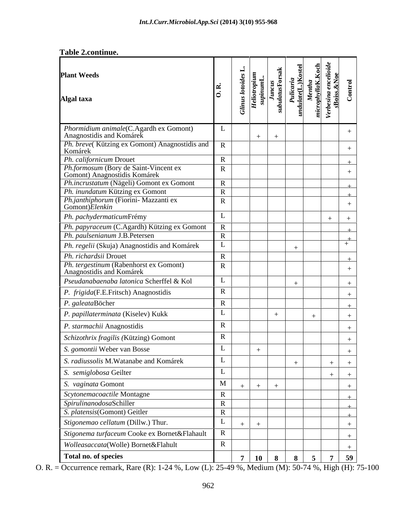| <b>Plant Weeds</b><br>Algal taxa                                         | k.<br>C      | <b>Glinus lotoides L.</b> | Heliotropium<br>supinumL. | subulatusForsak<br>Juncus | undulate(L.)Kostel<br>Pulicaria | microphyllaK.Koch<br>Mentha | Verbesina encelioide<br>sBoiss.&Noe | Control          |
|--------------------------------------------------------------------------|--------------|---------------------------|---------------------------|---------------------------|---------------------------------|-----------------------------|-------------------------------------|------------------|
| Phormidium animale(C.Agardh ex Gomont)<br>Anagnostidis and Komárek       | L            |                           |                           |                           |                                 |                             |                                     | $^{+}$           |
| Ph. breve(Kützing ex Gomont) Anagnostidis and<br>Komárek                 | $\mathbf R$  |                           |                           | $+$                       |                                 |                             |                                     | $^{+}$           |
| Ph. californicum Drouet                                                  | $\mathbf R$  |                           |                           |                           |                                 |                             |                                     | $\pm$            |
| Ph.formosum (Bory de Saint-Vincent ex<br>Gomont) Anagnostidis Komárek    | $\mathbf R$  |                           |                           |                           |                                 |                             |                                     | $^{+}$           |
| Ph.incrustatum (Nägeli) Gomont ex Gomont                                 | $\mathbf R$  |                           |                           |                           |                                 |                             |                                     |                  |
| Ph. inundatum Kützing ex Gomont<br>Ph.janthiphorum (Fiorini- Mazzanti ex | $\mathbf R$  |                           |                           |                           |                                 |                             |                                     |                  |
| Gomont) Elenkin                                                          | $\mathbf R$  |                           |                           |                           |                                 |                             |                                     | $^{+}$           |
| Ph. pachydermaticumFrémy                                                 | L            |                           |                           |                           |                                 |                             | $^{+}$                              | $\, +$           |
| Ph. papyraceum (C.Agardh) Kützing ex Gomont                              | $\mathbf R$  |                           |                           |                           |                                 |                             |                                     |                  |
| Ph. paulsenianum J.B.Petersen                                            | $\mathbf R$  |                           |                           |                           |                                 |                             |                                     |                  |
| Ph. regelii (Skuja) Anagnostidis and Komárek                             | L            |                           |                           |                           | $\hspace{0.1mm} +$              |                             |                                     | $+$              |
| Ph. richardsii Drouet                                                    | $\mathbf R$  |                           |                           |                           |                                 |                             |                                     |                  |
| Ph. tergestinum (Rabenhorst ex Gomont)<br>Anagnostidis and Komárek       | $\mathbf R$  |                           |                           |                           |                                 |                             |                                     | $+$              |
| Pseudanabaenaba latonica Scherffel & Kol                                 | L            |                           |                           |                           | $\hspace{0.1mm} +$              |                             |                                     | $^{+}$           |
| P. frigida(F.E.Fritsch) Anagnostidis                                     | $\mathbf R$  |                           |                           |                           |                                 |                             |                                     | $^{+}$           |
| P. galeataBöcher                                                         | $\mathbb{R}$ |                           |                           |                           |                                 |                             |                                     | $^{+}$           |
| P. papillaterminata (Kiselev) Kukk                                       | L            |                           |                           | $\mathrm{+}$              |                                 | $\mathrm{+}$                |                                     | $^{+}$           |
| P. starmachii Anagnostidis                                               | $\mathbf R$  |                           |                           |                           |                                 |                             |                                     | $\! +$           |
| Schizothrix fragilis (Kützing) Gomont                                    | $\mathbf R$  |                           |                           |                           |                                 |                             |                                     | $^{+}$           |
| S. gomontii Weber van Bosse                                              | L            |                           | $\hspace{0.1mm} +$        |                           |                                 |                             |                                     | $\overline{+}$   |
| S. radiussolis M. Watanabe and Komárek                                   | L            |                           |                           |                           | $\hspace{0.1mm} +$              |                             | $+$                                 | $+$              |
| S. semiglobosa Geilter                                                   | L            |                           |                           |                           |                                 |                             |                                     | $+$              |
| S. vaginata Gomont                                                       | M            | $^{+}$                    | $\hspace{0.1mm} +$        | $^{+}$                    |                                 |                             |                                     | $\boldsymbol{+}$ |
| Scytonemacoactile Montagne                                               | $\mathbf R$  |                           |                           |                           |                                 |                             |                                     | $\pm$            |
| SpirulinanodosaSchiller                                                  | $\mathbf R$  |                           |                           |                           |                                 |                             |                                     | ⊥                |
| S. platensis(Gomont) Geitler                                             | $\mathbf R$  |                           |                           |                           |                                 |                             |                                     | $\pm$            |
| Stigonemao cellatum (Dillw.) Thur.                                       | L            |                           |                           |                           |                                 |                             |                                     | $\boldsymbol{+}$ |
| Stigonema turfaceum Cooke ex Bornet&Flahault                             | $\mathbf R$  |                           |                           |                           |                                 |                             |                                     | $\boldsymbol{+}$ |
| Wolleasaccata(Wolle) Bornet&Flahult                                      | $\mathbf R$  |                           |                           |                           |                                 |                             |                                     | $\mathrm{+}$     |
| Total no. of species                                                     |              | 7                         | 10                        | 8                         | 8                               | 5                           | 7                                   | 59               |

O. R. = Occurrence remark, Rare (R): 1-24 %, Low (L): 25-49 %, Medium (M): 50-74 %, High (H): 75-100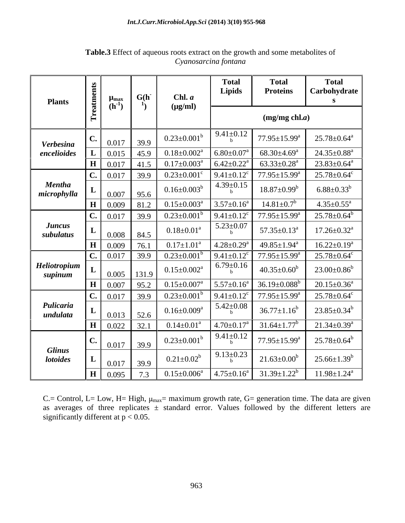### Int.J.Curr.Microbiol.App.Sci (2014) 3(10) 955-968

| <b>Plants</b>                    | Treatments     | $\mu_{\text{max}}$<br>$(h^{-1})$ | G(h)<br>$\mathbf{1}_{\mathcal{L}}$ | Chl. a<br>$(\mu g/ml)$        | <b>Total</b><br><b>Lipids</b>   | <b>Total</b><br><b>Proteins</b> | <b>Total</b><br>Carbohydrate<br>S |
|----------------------------------|----------------|----------------------------------|------------------------------------|-------------------------------|---------------------------------|---------------------------------|-----------------------------------|
|                                  |                |                                  |                                    |                               | $(mg/mg$ chl.a)                 |                                 |                                   |
| <b>Verbesina</b>                 | $\mathbf{C}$ . | 0.017                            | 39.9                               | $0.23 \pm 0.001^b$            | $9.41 \pm 0.12$<br>$\mathbf{h}$ | $77.95 \pm 15.99^{\text{a}}$    | $25.78 \pm 0.64$ <sup>a</sup>     |
| encelioides                      | L              | 0.015                            | 45.9                               | $0.18 \pm 0.002^a$            | $6.80{\pm}0.07^{\mathrm{a}}$    | $68.30{\pm}4.69^{\mathrm{a}}$   | $24.35 \pm 0.88$ <sup>a</sup>     |
|                                  | H              | 0.017                            | 41.5                               | $0.17 \pm 0.003^a$            | $6.42 \pm 0.22$ <sup>a</sup>    | $63.33 \pm 0.28^a$              | $23.83 \pm 0.64^a$                |
|                                  | $\mathbf{C}$ . | 0.017                            | 39.9                               | $0.23 \pm 0.001$ <sup>c</sup> | $9.41 \pm 0.12$ <sup>c</sup>    | $77.95 \pm 15.99^{\text{a}}$    | $25.78 \pm 0.64$ <sup>c</sup>     |
| <b>Mentha</b><br>microphylla     | L              | 0.007                            | 95.6                               | $0.16 \pm 0.003^b$            | $4.39 \pm 0.15$<br>h            | $18.87 \pm 0.99^b$              | $6.88 \pm 0.33^b$                 |
|                                  | $\mathbf H$    | 0.009                            | 81.2                               | $0.15 \pm 0.003^a$            | $3.57 \pm 0.16^a$               | $14.81 \pm 0.7$ <sup>b</sup>    | $4.35 \pm 0.55^a$                 |
|                                  | $\mathbf{C}$ . | 0.017                            | 39.9                               | $0.23 \pm 0.001^b$            | $9.41 \pm 0.12$ <sup>c</sup>    | $77.95 \pm 15.99^a$             | $25.78 \pm 0.64^b$                |
| <b>Juncus</b><br>subulatus       | L              | 0.008                            | 84.5                               | $0.18 \pm 0.01^a$             | $5.23 \pm 0.07$<br>h            | $57.35 \pm 0.13^a$              | $17.26 \pm 0.32$ <sup>a</sup>     |
|                                  | H              | 0.009                            | 76.1                               | $0.17 \pm 1.01^a$             | $4.28 \pm 0.29$ <sup>a</sup>    | $49.85 \pm 1.94$ <sup>a</sup>   | $16.22 \pm 0.19^a$                |
|                                  | $C_{\bullet}$  | 0.017                            | 39.9                               | $0.23 \pm 0.001$ <sup>b</sup> | $9.41 \pm 0.12$ <sup>c</sup>    | $77.95 \pm 15.99^{\text{a}}$    | $25.78 \pm 0.64$ <sup>c</sup>     |
| Heliotropium<br>supinum          | L              | 0.005                            | 131.9                              | $0.15 \pm 0.002^a$            | $6.79 \pm 0.16$<br>$\mathbf{h}$ | $40.35 \pm 0.60^b$              | $23.00 \pm 0.86^b$                |
|                                  | $\mathbf H$    | 0.007                            | 95.2                               | $0.15 \pm 0.007^a$            | $5.57 \pm 0.16^a$               | $36.19 \pm 0.088^b$             | $20.15 \pm 0.36^a$                |
|                                  | C.             | 0.017                            | 39.9                               | $0.23 \pm 0.001^b$            | $9.41 \pm 0.12$ <sup>c</sup>    | $77.95 \pm 15.99^a$             | $25.78 \pm 0.64$ <sup>c</sup>     |
| Pulicaria<br>undulata            | L              | 0.013                            | 52.6                               | $0.16 \pm 0.009^a$            | $5.42 \pm 0.08$<br>h            | $36.77 \pm 1.16^b$              | $23.85 \pm 0.34^b$                |
|                                  | H              | 0.022                            | 32.1                               | $0.14 \pm 0.01$ <sup>a</sup>  | $4.70 \pm 0.17^a$               | $31.64 \pm 1.77$ <sup>b</sup>   | $21.34 \pm 0.39^a$                |
|                                  | $\mathbf{C}$ . | 0.017                            | 39.9                               | $0.23 \pm 0.001^b$            | $9.41 \pm 0.12$<br>$\mathbf b$  | $77.95 \pm 15.99^a$             | $25.78 \pm 0.64^b$                |
| <b>Glinus</b><br><b>lotoides</b> | L              | 0.017                            | 39.9                               | $0.21 \pm 0.02^b$             | $9.13 \pm 0.23$<br>h            | $21.63 \pm 0.00^b$              | $25.66 \pm 1.39^b$                |
|                                  | $\mathbf H$    | 0.095                            | 7.3                                | $0.15 \pm 0.006^a$            | $4.75 \pm 0.16^a$               | $31.39 \pm 1.22^b$              | $11.98 \pm 1.24$ <sup>a</sup>     |

Table.3 Effect of aqueous roots extract on the growth and some metabolites of Cyanosarcina fontana

C.= Control, L= Low, H= High,  $\mu_{max}$ = maximum growth rate, G= generation time. The data are given as averages of three replicates  $\pm$  standard error. Values followed by the different letters are significantly different at  $p < 0.05$ .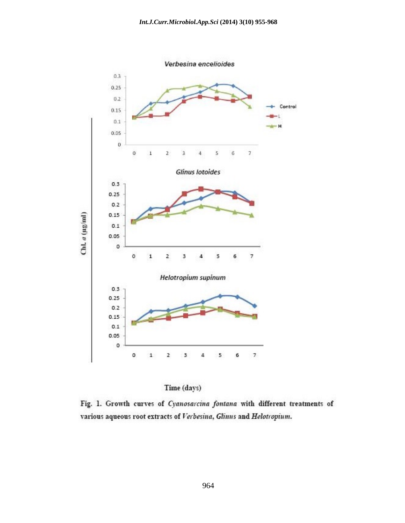



Fig. 1. Growth curves of Cyanosarcina fontana with different treatments of various aqueous root extracts of Verbesina, Glinus and Helotropium.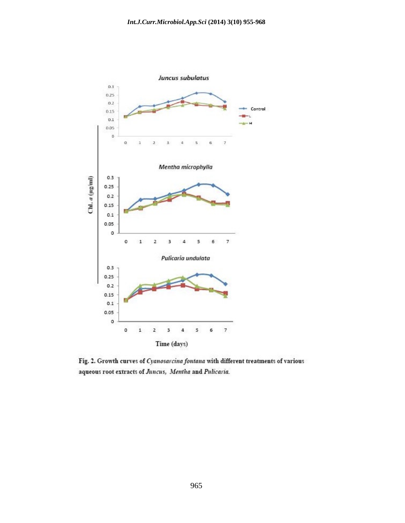

Fig. 2. Growth curves of Cyanosarcina fontana with different treatments of various aqueous root extracts of Juncus, Mentha and Pulicaria.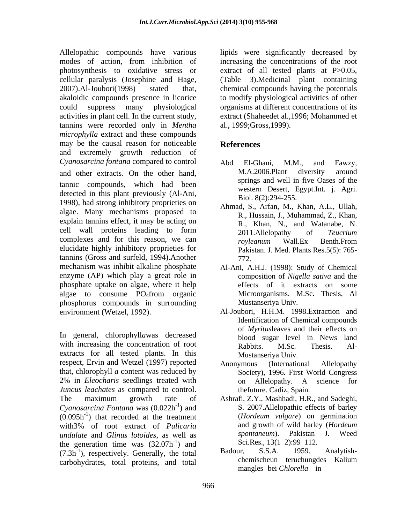Allelopathic compounds have various lipids were significantly decreased by modes of action, from inhibition of increasing the concentrations of the root photosynthesis to oxidative stress or extract of all tested plants at P>0.05, cellular paralysis (Josephine and Hage, (Table 3).Medicinal plant containing 2007).Al-Joubori(1998) stated that, chemical compounds having the potentials akaloidic compounds presence in licorice to modify physiological activities of other could suppress many physiological organisms at different concentrations of its activities in plant cell. In the current study, tannins were recorded only in *Mentha microphylla* extract and these compounds may be the causal reason for noticeable References and extremely growth reduction of

tannic compounds, which had been detected in this plant previously (Al-Ani, 1998), had strong inhibitory proprieties on algae. Many mechanisms proposed to explain tannins effect, it may be acting on cell wall proteins leading to form and the cell wall proteins leading to form 2011. All elopathy of *Teucrium* complexes and for this reason, we can *royleanum* Wall.Ex Benth.From elucidate highly inhibitory proprieties for tannins (Gross and surfeld, 1994).Another mechanism was inhibit alkaline phosphate enzyme (AP) which play a great role in phosphate uptake on algae, where it help algae to consume PO4from organic phosphorus compounds in surrounding

In general, chlorophyll*a*was decreased with increasing the concentration of root Rabbits. M.Sc. Thesis. Alextracts for all tested plants. In this respect, Ervin and Wetzel (1997) reported Anonymous (International Allelopathy that, chlorophyll *a* content was reduced by 2% in *Eleocharis* seedlings treated with *Juncus leachates* as compared to control. the maximum stroke and the maximum stroke and the maximum stroke as the maximum stroke as the maximum stroke as  $\frac{1}{2}$  and  $\frac{1}{2}$  and  $\frac{1}{2}$  and  $\frac{1}{2}$  and  $\frac{1}{2}$  a *Cyanosarcina Fontana* was (0.022h  $(0.095h<sup>-1</sup>)$  that recorded at the treatment  $(Hordeum \text{ vulgare})$  on germination with3% of root extract of *Pulicaria* and growth of wild barley (*Hordeum undulate* and *Glinus lotoides*, as well as the generation time was  $(32.07h^{-1})$  and  $(7.3h^{-1})$  respectively Generally the total Badour, S.S.A. 1959. Analytish- $(7.3h<sup>-1</sup>)$ , respectively. Generally, the total Badour, S.S.A. 1959. Analytishcarbohydrates, total proteins, and total chemischeun teruchungdes Kalium

extract (Shaheedet al.,1996; Mohammed et al., 1999;Gross,1999).

### **References**

- *Cyanosarcina fontana* compared to control and other extracts. On the other hand, M.A.2006.Plant diversity around Abd El-Ghani, M.M., and Fawzy, M.A.2006.Plant diversity around springs and well in five Oases of the western Desert, Egypt.Int. j. Agri. Biol. 8(2):294-255.
	- Ahmad, S., Arfan, M., Khan, A.L., Ullah, R., Hussain, J., Muhammad, Z., Khan, R., Khan, N., and Watanabe, N. 2011.Allelopathy of *Teucrium royleanum* Wall.Ex Benth.From Pakistan. J. Med. Plants Res.5(5): 765- 772.
	- Al-Ani, A.H.J. (1998): Study of Chemical composition of *Nigella sativa* and the effects of it extracts on some Microorganisms. M.Sc. Thesis, Al Mustanseriya Univ.
- environment (Wetzel, 1992). Al-Joubori, H.H.M. 1998.Extraction and Identification of Chemical compounds of *Myritus*leaves and their effects on blood sugar level in News land Rabbits. M.Sc. Thesis. Al- Mustanseriya Univ.
	- Anonymous (International Allelopathy Society), 1996. First World Congress on Allelopathy. A science for thefuture. Cadiz, Spain.
	- <sup>-1</sup>) and S. 2007. Allelopathic effects of barley (*Hordeum vulgare*) on germination Sci.Res., 13(1-2):99-112. ) and Sci.Res.,  $13(1-2):99-112$ . Ashrafi, Z.Y., Mashhadi, H.R., and Sadeghi, (*Hordeum vulgare*) on germination and growth of wild barley (*Hordeum spontaneum*). Pakistan J. Weed Sci.Res., 13(1–2):99–112.
		- Badour, S.S.A. 1959. Analytish chemischeun teruchungdes Kalium mangles bei *Chlorella* in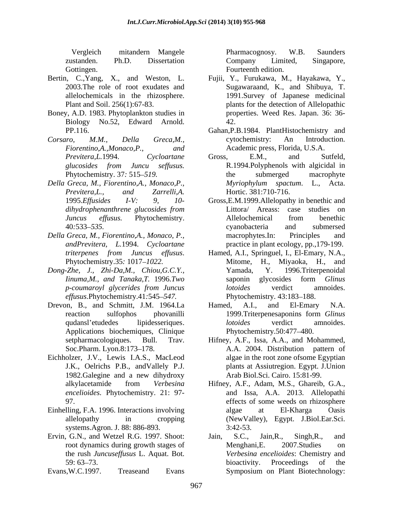- 
- Boney, A.D. 1983. Phytoplankton studies in Biology No.52, Edward Arnold.
- 
- *Della Greca, M., Fiorentino,A., Monaco,P., dihydrophenanthrene glucosides from*
- 
- *Dong-Zhe, J., Zhi-Da,M., Chiou,G.C.Y., effusus*.Phytochemistry.41*:*545 *547.*
- Drevon, B., and Schmitt, J.M. 1964.La Hamed, A.I., and El-Emary N.A.
- Eichholzer, J.V., Lewis I.A.S., MacLeod J.K., Oelrichs P.B., andVallely P.J.
- Einhelling, F.A. 1996. Interactions involving algae at El-Kharga Oasis systems.Agron. J. 88: 886-893. 3:42-53.
- the rush *Juncuseffusus* L. Aquat. Bot.
- Evans,W.C.1997. Treaseand Evans

Vergleich mitandern Mangele zustanden. Ph.D. Dissertation Gottingen. Fourteenth edition. Pharmacognosy. W.B. Saunders Company Limited, Singapore,

- Bertin, C.,Yang, X., and Weston, L. Fujii, Y., Furukawa, M., Hayakawa, Y., 2003.The role of root exudates and Sugawaraand, K., and Shibuya, T. allelochemicals in the rhizosphere. 1991.Survey of Japanese medicinal Plant and Soil. 256(1):67-83. plants for the detection of Allelopathic properties. Weed Res. Japan. 36: 36- 42.
- PP.116. Gahan,P.B.1984. PlantHistochemistry and *Corsaro, M.M., Della Greca,M., Fiorentino,A.,Monaco,P., and* Academic press, Florida, U.S.A. cytochemistry: An Introduction.
	- *Previtera,L.*1994. *Cycloartane glucosides from Juncu seffusus.* Phytochemistry. 37: 515–519. the submerged macrophyte *Previtera,L., and Zarrelli,A.* Gross, E.M., and Sutfeld, R.1994.Polyphenols with algicidal in the submerged macrophyte *Myriophylum spactum*. L., Acta. Hortic. 381:710-716.
- 1995.*Ef usides I-V: 9, 10-* Gross,E.M.1999.Allelopathy in benethic and *Juncus effusus.* Phytochemistry. 40*:*533 *535. Della Greca, M., Fiorentino,A., Monaco, P., andPrevitera, L.*1994. *Cycloartane* practice in plant ecology, pp.,179-199. Littora/ Areass: case studies on Allelochemical from benethic cyanobacteria and submersed macrophytes.In: Principles and
	- *triterpenes from Juncus effusus*. Hamed, A.I., Springuel, I., El-Emary, N.A., Phytochemistry.35: 1017–1022. Mitome, H., Miyaoka, H., and *Iinuma,M., and Tanaka,T.* 1996.*Two p-coumaroyl glycerides from Juncus* Mitome, H., Miyaoka, H., and 1996.Triterpenoidal saponin glycosides form *Glinus lotoides* verdict amnoides. Phytochemistry. 43:183–188.
	- reaction sulfophos phovanilli 1999. Triter penesaponins form Glinus qudansl'etudedes lipidesseriques. *lotoides* verdict amnoides.<br>Applications biochemiques, Clinique Phytochemistry.50:477–480. Hamed, A.I., and El-Emary N.A. 1999.Triterpenesaponins form *Glinus lotoides* verdict amnoides. Phytochemistry.50:477 480.
	- setpharmacologiques. Bull. Trav. Hifney, A.F., Issa, A.A., and Mohammed, Soc.Pharm. Lyon.8:173–178. A.A. 2004. Distribution pattern of 1982.Galegine and a new dihydroxy Hifney, A.F., Issa, A.A., and Mohammed, A.A. 2004. Distribution pattern of algae in the root zone ofsome Egyptian plants at Assiutregion. Egypt. J.Union Arab Biol.Sci. Cairo. 15:81-99.
	- alkylacetamide from *Verbesina*  Hifney, A.F., Adam, M.S., Ghareib, G.A., *encelioides*. Phytochemistry. 21: 97- and Issa, A.A. 2013. Allelopathi 97. effects of some weeds on rhizosphere allelopathy in cropping (NewValley), Egypt. J.Biol.Ear.Sci. algae at El-Kharga Oasis 3:42-53.
- Ervin, G.N., and Wetzel R.G. 1997. Shoot: Jain, S.C., Jain, R., Singh, R., and root dynamics during growth stages of Menghani, E. 2007. Studies on 59: 63–73. bioactivity. Proceedings of the Jain, S.C., Jain,R., Singh,R., and Menghani,E. 2007.Studies on *Verbesina encelioides*: Chemistry and bioactivity. Proceedings of the Symposium on Plant Biotechnology: